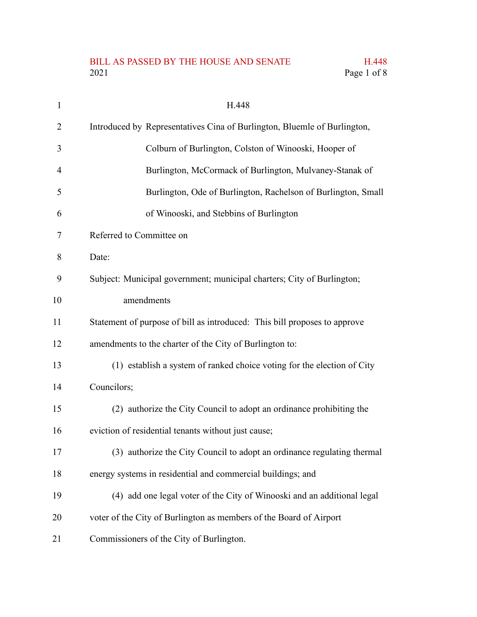## BILL AS PASSED BY THE HOUSE AND SENATE H.448<br>2021 Page 1 of 8

Page 1 of 8

| $\mathbf{1}$ | H.448                                                                     |
|--------------|---------------------------------------------------------------------------|
| 2            | Introduced by Representatives Cina of Burlington, Bluemle of Burlington,  |
| 3            | Colburn of Burlington, Colston of Winooski, Hooper of                     |
| 4            | Burlington, McCormack of Burlington, Mulvaney-Stanak of                   |
| 5            | Burlington, Ode of Burlington, Rachelson of Burlington, Small             |
| 6            | of Winooski, and Stebbins of Burlington                                   |
| 7            | Referred to Committee on                                                  |
| 8            | Date:                                                                     |
| 9            | Subject: Municipal government; municipal charters; City of Burlington;    |
| 10           | amendments                                                                |
| 11           | Statement of purpose of bill as introduced: This bill proposes to approve |
| 12           | amendments to the charter of the City of Burlington to:                   |
| 13           | (1) establish a system of ranked choice voting for the election of City   |
| 14           | Councilors;                                                               |
| 15           | (2) authorize the City Council to adopt an ordinance prohibiting the      |
| 16           | eviction of residential tenants without just cause;                       |
| 17           | (3) authorize the City Council to adopt an ordinance regulating thermal   |
| 18           | energy systems in residential and commercial buildings; and               |
| 19           | (4) add one legal voter of the City of Winooski and an additional legal   |
| 20           | voter of the City of Burlington as members of the Board of Airport        |
| 21           | Commissioners of the City of Burlington.                                  |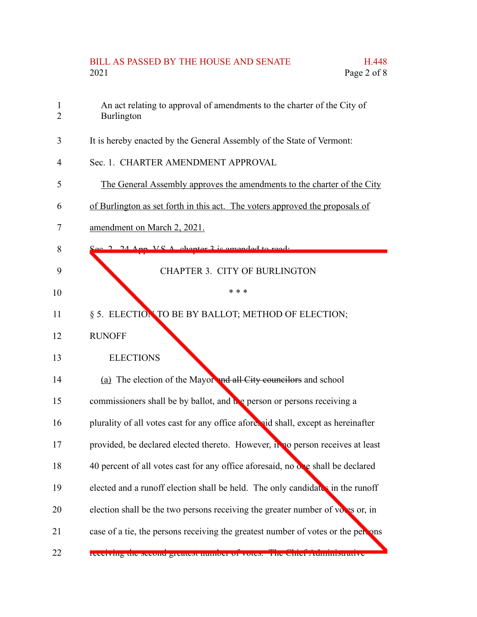## BILL AS PASSED BY THE HOUSE AND SENATE H.448 2021 Page 2 of 8

- An act relating to approval of amendments to the charter of the City of Burlington 1 2
- It is hereby enacted by the General Assembly of the State of Vermont: 3
- Sec. 1. CHARTER AMENDMENT APPROVAL 4
- The General Assembly approves the amendments to the charter of the City 5
- of Burlington as set forth in this act. The voters approved the proposals of 6
- amendment on March 2, 2021. 7
- Sec. 2. 24 App. V.S.A. chapter 3 is amended to read: 8

## CHAPTER 3. CITY OF BURLINGTON

\* \* \*

- § 5. ELECTION TO BE BY BALLOT; METHOD OF ELECTION; 11
- RUNOFF 12

9

10

**ELECTIONS** 13

| 14 | (a) The election of the Mayor and all City councilors and school                   |
|----|------------------------------------------------------------------------------------|
| 15 | commissioners shall be by ballot, and the person or persons receiving a            |
| 16 | plurality of all votes cast for any office afore, aid shall, except as hereinafter |
| 17 | provided, be declared elected thereto. However, it no person receives at least     |
| 18 | 40 percent of all votes cast for any office aforesaid, no one shall be declared    |
| 19 | elected and a runoff election shall be held. The only candidates in the runoff     |
| 20 | election shall be the two persons receiving the greater number of voles or, in     |
| 21 | case of a tie, the persons receiving the greatest number of votes or the persons   |
| 22 | <b>FUGURINIE THE SUCCINE PLEASED HUIHLOOF OF VOLUS.</b><br>ние ение жинипылануе    |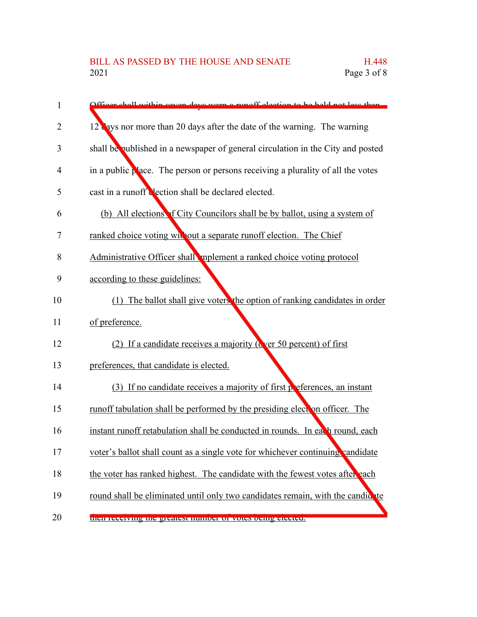| 1  | Officer shall within seven days were a runoff election to be held not less than |
|----|---------------------------------------------------------------------------------|
| 2  | 12 ays nor more than 20 days after the date of the warning. The warning         |
| 3  | shall be published in a newspaper of general circulation in the City and posted |
| 4  | in a public place. The person or persons receiving a plurality of all the votes |
| 5  | cast in a runoff dection shall be declared elected.                             |
| 6  | (b) All elections of City Councilors shall be by ballot, using a system of      |
| 7  | ranked choice voting without a separate runoff election. The Chief              |
| 8  | Administrative Officer shall mplement a ranked choice voting protocol           |
| 9  | according to these guidelines:                                                  |
| 10 | (1) The ballot shall give voters the option of ranking candidates in order      |
| 11 | of preference.                                                                  |
| 12 | (2) If a candidate receives a majority (Cver 50 percent) of first               |
| 13 | preferences, that candidate is elected.                                         |
| 14 | (3) If no candidate receives a majority of first perferences, an instant        |
| 15 | runoff tabulation shall be performed by the presiding elect on officer. The     |
| 16 | instant runoff retabulation shall be conducted in rounds. In each round, each   |
| 17 | voter's ballot shall count as a single vote for whichever continuing vandidate  |
| 18 | the voter has ranked highest. The candidate with the fewest votes after each    |
| 19 | round shall be eliminated until only two candidates remain, with the candidate  |
| 20 | then receiving the greatest number of votes being elected.                      |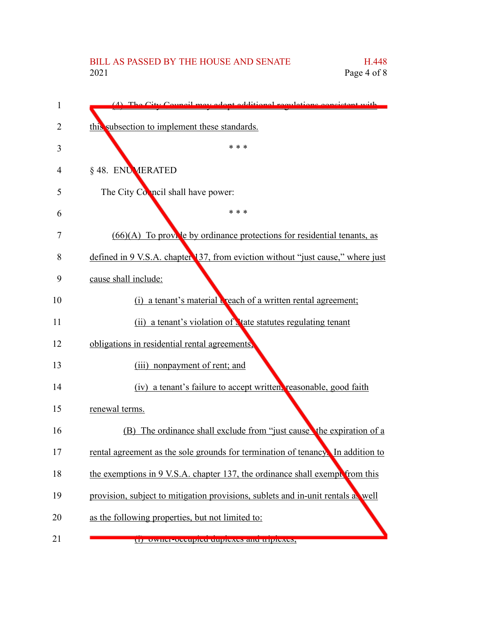| 1              | (A) The City Council may adopt additional regulations consistent with           |
|----------------|---------------------------------------------------------------------------------|
| $\overline{2}$ | this subsection to implement these standards.                                   |
| 3              | * * *                                                                           |
| 4              | § 48. ENUMERATED                                                                |
| 5              | The City Council shall have power:                                              |
| 6              | * * *                                                                           |
| 7              | (66)(A) To provide by ordinance protections for residential tenants, as         |
| 8              | defined in 9 V.S.A. chapter 137, from eviction without "just cause," where just |
| 9              | cause shall include:                                                            |
| 10             | (i) a tenant's material <b>c</b> reach of a written rental agreement;           |
| 11             | (ii) a tenant's violation of tate statutes regulating tenant                    |
| 12             | obligations in residential rental agreements,                                   |
| 13             | (iii) nonpayment of rent; and                                                   |
| 14             | (iv) a tenant's failure to accept written, reasonable, good faith               |
| 15             | renewal terms.                                                                  |
| 16             | (B) The ordinance shall exclude from "just causes the expiration of a           |
| 17             | rental agreement as the sole grounds for termination of tenancy. In addition to |
| 18             | the exemptions in 9 V.S.A. chapter 137, the ordinance shall exempt from this    |
| 19             | provision, subject to mitigation provisions, sublets and in-unit rentals a well |
| 20             | as the following properties, but not limited to:                                |
| 21             | (1) OWNER-OCCupica auprences and diplemes,                                      |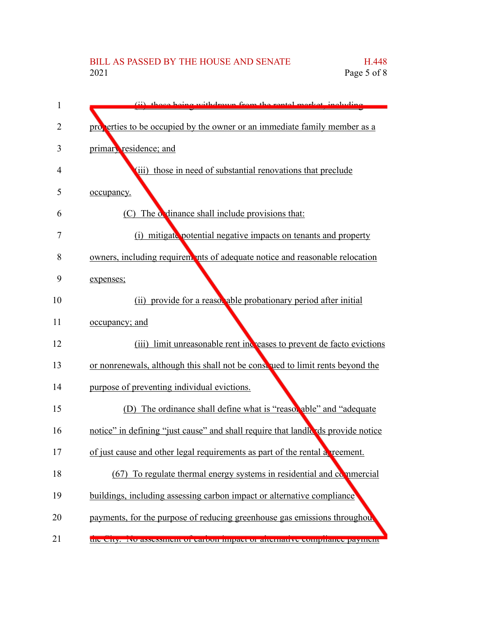## BILL AS PASSED BY THE HOUSE AND SENATE H.448<br>2021 Page 5 of 8 Page 5 of 8

| 1              | (ii) those being withdrown from the rental merket including                      |
|----------------|----------------------------------------------------------------------------------|
| $\overline{2}$ | properties to be occupied by the owner or an immediate family member as a        |
| 3              | primary residence; and                                                           |
| 4              | (iii) those in need of substantial renovations that preclude                     |
| 5              | occupancy.                                                                       |
| 6              | (C) The ordinance shall include provisions that:                                 |
| 7              | (i) mitigate potential negative impacts on tenants and property                  |
| 8              | owners, including requirements of adequate notice and reasonable relocation      |
| 9              | expenses;                                                                        |
| 10             | (ii) provide for a reasor able probationary period after initial                 |
| 11             | <u>occupancy; and</u>                                                            |
| 12             | (iii) limit unreasonable rent increases to prevent de facto evictions            |
| 13             | or nonrenewals, although this shall not be consulted to limit rents beyond the   |
| 14             | purpose of preventing individual evictions.                                      |
| 15             | (D) The ordinance shall define what is "reasonable" and "adequate"               |
| 16             | notice" in defining "just cause" and shall require that landle ds provide notice |
| 17             | of just cause and other legal requirements as part of the rental a reement.      |
| 18             | (67) To regulate thermal energy systems in residential and commercial            |
| 19             | buildings, including assessing carbon impact or alternative compliance           |
| 20             | payments, for the purpose of reducing greenhouse gas emissions throughout        |
| 21             | the City. Two assessment or carbon impact or ancinative compnance payment        |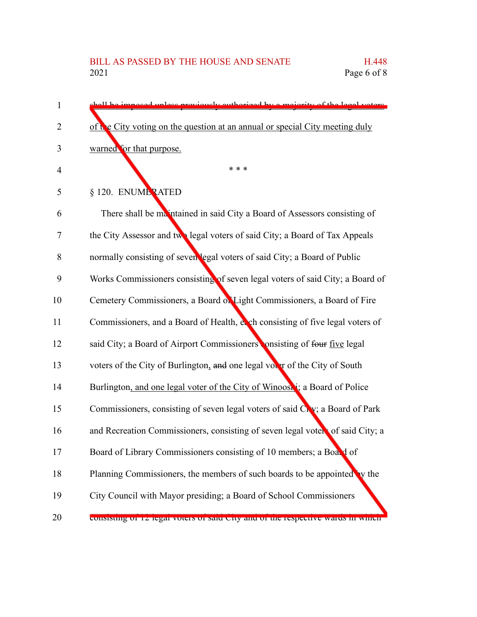shall be imposed unless previously authorized by a majority of the legal voters of the City voting on the question at an annual or special City meeting duly warned for that purpose. \* \* \* § 120. ENUMERATED There shall be maintained in said City a Board of Assessors consisting of the City Assessor and two legal voters of said City; a Board of Tax Appeals normally consisting of seven legal voters of said City; a Board of Public Works Commissioners consisting of seven legal voters of said City; a Board of Cemetery Commissioners, a Board of Light Commissioners, a Board of Fire Commissioners, and a Board of Health, each consisting of five legal voters of said City; a Board of Airport Commissioners onsisting of four five legal voters of the City of Burlington, and one legal voter of the City of South Burlington, and one legal voter of the City of Winooski; a Board of Police Commissioners, consisting of seven legal voters of said City; a Board of Park and Recreation Commissioners, consisting of seven legal voters of said City; a Board of Library Commissioners consisting of 10 members; a Board of Planning Commissioners, the members of such boards to be appointed by the City Council with Mayor presiding; a Board of School Commissioners consisting of 12 legal voters of said City and of the respective wards in which 1 2 3 4 5 6 7 8 9 10 11 12 13 14 15 16 17 18 19 20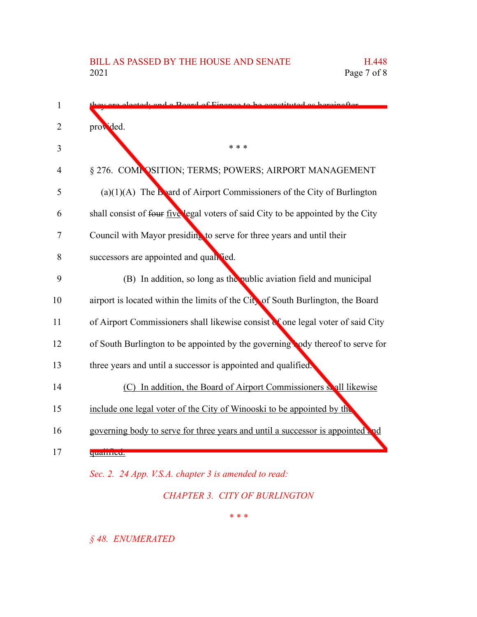| $\mathbf{1}$   | stady and a Roard of Finance to be constituted as hereinafter                    |
|----------------|----------------------------------------------------------------------------------|
| $\overline{2}$ | provided.                                                                        |
| 3              | * * *                                                                            |
| 4              | § 276. COMPOSITION; TERMS; POWERS; AIRPORT MANAGEMENT                            |
| 5              | (a) $(1)(A)$ The <b>b</b> ard of Airport Commissioners of the City of Burlington |
| 6              | shall consist of four five legal voters of said City to be appointed by the City |
| 7              | Council with Mayor presiding to serve for three years and until their            |
| 8              | successors are appointed and qualified.                                          |
| 9              | (B) In addition, so long as the public aviation field and municipal              |
| 10             | airport is located within the limits of the City of South Burlington, the Board  |
| 11             | of Airport Commissioners shall likewise consist of one legal voter of said City  |
| 12             | of South Burlington to be appointed by the governing ody thereof to serve for    |
| 13             | three years and until a successor is appointed and qualified.                    |
| 14             | (C) In addition, the Board of Airport Commissioners solul likewise               |
| 15             | include one legal voter of the City of Winooski to be appointed by the           |
| 16             | governing body to serve for three years and until a successor is appointed and   |
| 17             | quamnou.                                                                         |
|                | Sec. 2. 24 App. V.S.A. chapter 3 is amended to read:                             |

*CHAPTER 3. CITY OF BURLINGTON*

*\* \* \**

*§ 48. ENUMERATED*